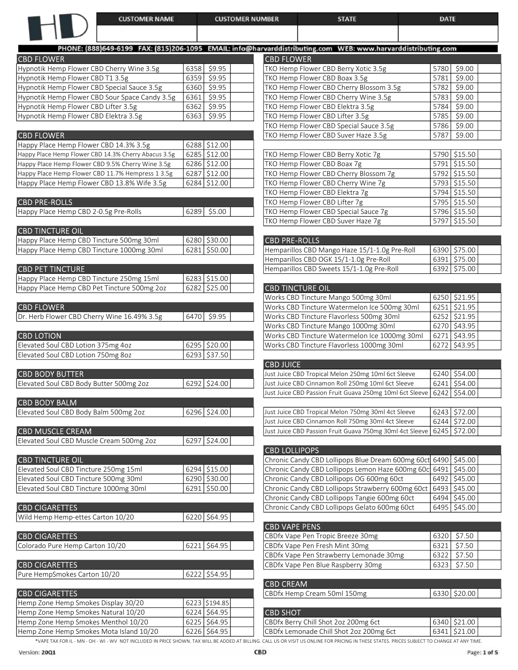## **CUSTOMER NUMBER**

**STATE** 

DATE

| PHONE: (888)649-6199 FAX: (815)206-1095 EMAIL: info@harvarddistributing.co |                |         |                                        |
|----------------------------------------------------------------------------|----------------|---------|----------------------------------------|
| <b>CBD FLOWER</b>                                                          |                |         | <b>CBD FLOWER</b>                      |
| Hypnotik Hemp Flower CBD Cherry Wine 3.5g                                  | 6358           | \$9.95  | TKO Hemp Flower                        |
| Hypnotik Hemp Flower CBD T1 3.5g                                           | 6359           | \$9.95  | TKO Hemp Flower                        |
| Hypnotik Hemp Flower CBD Special Sauce 3.5g                                | 6360           | \$9.95  | TKO Hemp Flower                        |
| Hypnotik Hemp Flower CBD Sour Space Candy 3.5g                             | 6361           | \$9.95  | <b>TKO Hemp Flower</b>                 |
| Hypnotik Hemp Flower CBD Lifter 3.5g                                       | 6362           | \$9.95  | TKO Hemp Flower                        |
| Hypnotik Hemp Flower CBD Elektra 3.5g                                      | 6363           | \$9.95  | TKO Hemp Flower                        |
|                                                                            |                |         | TKO Hemp Flower                        |
| <b>CBD FLOWER</b>                                                          |                |         | TKO Hemp Flower                        |
| Happy Place Hemp Flower CBD 14.3% 3.5g                                     | 6288 \$12.00   |         |                                        |
| Happy Place Hemp Flower CBD 14.3% Cherry Abacus 3.5g                       | 6285 \$12.00   |         | TKO Hemp Flower                        |
| Happy Place Hemp Flower CBD 9.5% Cherry Wine 3.5g                          | 6286 \$12.00   |         | TKO Hemp Flower                        |
| Happy Place Hemp Flower CBD 11.7% Hempress 1 3.5g                          | 6287 \$12.00   |         | TKO Hemp Flower                        |
| Happy Place Hemp Flower CBD 13.8% Wife 3.5g                                | 6284 \$12.00   |         | TKO Hemp Flower                        |
|                                                                            |                |         | TKO Hemp Flower                        |
| <b>CBD PRE-ROLLS</b>                                                       |                |         | TKO Hemp Flower                        |
| Happy Place Hemp CBD 2-0.5g Pre-Rolls                                      | 6289           | \$5.00  | TKO Hemp Flower                        |
|                                                                            |                |         | TKO Hemp Flower                        |
| <b>CBD TINCTURE OIL</b>                                                    |                |         |                                        |
| Happy Place Hemp CBD Tincture 500mg 30ml                                   | 6280           | \$30.00 | <b>CBD PRE-ROLLS</b>                   |
| Happy Place Hemp CBD Tincture 1000mg 30ml                                  | 6281           | \$50.00 | Hemparillos CBD M                      |
|                                                                            |                |         | Hemparillos CBD O                      |
| <b>CBD PET TINCTURE</b>                                                    |                |         | Hemparillos CBD Sv                     |
| Happy Place Hemp CBD Tincture 250mg 15ml                                   | $6283$ \$15.00 |         |                                        |
| Happy Place Hemp CBD Pet Tincture 500mg 2oz                                | 6282           | \$25.00 | <b>CBD TINCTURE C</b>                  |
|                                                                            |                |         | Works CBD Tinctur                      |
| <b>CBD FLOWER</b>                                                          |                |         | Works CBD Tinctur                      |
| Dr. Herb Flower CBD Cherry Wine 16.49% 3.5g                                | 6470           | \$9.95  | Works CBD Tinctur<br>Works CBD Tinctur |
| <b>CBD LOTION</b>                                                          |                |         | Works CBD Tinctur                      |
| Elevated Soul CBD Lotion 375mg 4oz                                         | 6295 \$20.00   |         | Works CBD Tinctur                      |
| Elevated Soul CBD Lotion 750mg 8oz                                         | 6293           | \$37.50 |                                        |
|                                                                            |                |         | <b>CBD JUICE</b>                       |
| <b>CBD BODY BUTTER</b>                                                     |                |         | Just Juice CBD Tropic                  |
| Elevated Soul CBD Body Butter 500mg 2oz                                    | 6292 \$24.00   |         | Just Juice CBD Cinnar                  |
|                                                                            |                |         | Just Juice CBD Passio                  |
| <b>CBD BODY BALM</b>                                                       |                |         |                                        |
| Elevated Soul CBD Body Balm 500mg 2oz                                      | 6296 \$24.00   |         | Just Juice CBD Tropic                  |
|                                                                            |                |         | Just Juice CBD Cinnai                  |
| <b>CBD MUSCLE CREAM</b>                                                    |                |         | Just Juice CBD Passio                  |
| Elevated Soul CBD Muscle Cream 500mg 2oz                                   | 6297           | \$24.00 |                                        |
|                                                                            |                |         | <b>CBD LOLLIPOPS</b>                   |
| <b>CBD TINCTURE OIL</b>                                                    |                |         | Chronic Candy CBD                      |
| Elevated Soul CBD Tincture 250mg 15ml                                      | $6294$ \$15.00 |         | Chronic Candy CBD                      |
| Elevated Soul CBD Tincture 500mg 30ml                                      | 6290           | \$30.00 | Chronic Candy CBD                      |
| Elevated Soul CBD Tincture 1000mg 30ml                                     | 6291           | \$50.00 | Chronic Candy CBD                      |
|                                                                            |                |         | Chronic Candy CBC                      |
| <b>CBD CIGARETTES</b>                                                      |                |         | Chronic Candy CBC                      |
| Wild Hemp Hemp-ettes Carton 10/20                                          | 6220 \$64.95   |         |                                        |
|                                                                            |                |         | <b>CBD VAPE PENS</b>                   |
| <b>CBD CIGARETTES</b>                                                      |                |         | CBDfx Vape Pen Tr                      |
| Colorado Pure Hemp Carton 10/20                                            | 6221           | \$64.95 | CBDfx Vape Pen Fr                      |
|                                                                            |                |         | CBDfx Vape Pen St                      |
| <b>CBD CIGARETTES</b>                                                      |                |         | CBDfx Vape Pen Bl                      |
| Pure HempSmokes Carton 10/20                                               | 6222           | \$54.95 |                                        |
|                                                                            |                |         | <b>CBD CREAM</b>                       |
| <b>CBD CIGARETTES</b>                                                      |                |         | CBDfx Hemp Crean                       |
| Hemp Zone Hemp Smokes Display 30/20                                        | 6223 \$194.85  |         |                                        |
| Hemp Zone Hemp Smokes Natural 10/20                                        | 6224 \$64.95   |         | <b>CBD SHOT</b>                        |
| Hemp Zone Hemp Smokes Menthol 10/20                                        | 6225 \$64.95   |         | CBDfx Berry Chill SI                   |

| arddistributing.com WEB: www.harvarddistributing.com                                  |              |                  |
|---------------------------------------------------------------------------------------|--------------|------------------|
| <b>BD FLOWER</b>                                                                      |              |                  |
| KO Hemp Flower CBD Berry Xotic 3.5g                                                   | 5780<br>5781 | \$9.00<br>\$9.00 |
| KO Hemp Flower CBD Boax 3.5g<br>KO Hemp Flower CBD Cherry Blossom 3.5g                | 5782         | \$9.00           |
| KO Hemp Flower CBD Cherry Wine 3.5g                                                   | 5783         | 59.00            |
| KO Hemp Flower CBD Elektra 3.5g                                                       | 5784         | \$9.00           |
| KO Hemp Flower CBD Lifter 3.5g                                                        | 5785         | \$9.00           |
| KO Hemp Flower CBD Special Sauce 3.5g                                                 | 5786         | \$9.00           |
| KO Hemp Flower CBD Suver Haze 3.5g                                                    | 5787         | \$9.00           |
|                                                                                       |              |                  |
| KO Hemp Flower CBD Berry Xotic 7g                                                     | 5790         | \$15.50          |
| KO Hemp Flower CBD Boax 7g                                                            | 5791         | \$15.50          |
| KO Hemp Flower CBD Cherry Blossom 7g                                                  |              | 5792 \$15.50     |
| KO Hemp Flower CBD Cherry Wine 7g                                                     |              | 5793 \$15.50     |
| KO Hemp Flower CBD Elektra 7g                                                         |              | 5794 \$15.50     |
| KO Hemp Flower CBD Lifter 7g                                                          |              | 5795 \$15.50     |
| KO Hemp Flower CBD Special Sauce 7g                                                   |              | 5796 \$15.50     |
| KO Hemp Flower CBD Suver Haze 7g                                                      | 5797         | \$15.50          |
|                                                                                       |              |                  |
| <b>BD PRE-ROLLS</b>                                                                   |              |                  |
| emparillos CBD Mango Haze 15/1-1.0g Pre-Roll                                          |              | 6390 \$75.00     |
| emparillos CBD OGK 15/1-1.0g Pre-Roll                                                 |              | 6391 \$75.00     |
| emparillos CBD Sweets 15/1-1.0g Pre-Roll                                              |              | 6392   \$75.00   |
| <b>BD TINCTURE OIL</b>                                                                |              |                  |
| /orks CBD Tincture Mango 500mg 30ml                                                   | 6250         | \$21.95          |
| /orks CBD Tincture Watermelon Ice 500mg 30ml                                          |              | 6251 \$21.95     |
| /orks CBD Tincture Flavorless 500mg 30ml                                              | 6252         | \$21.95          |
|                                                                                       |              | 6270 \$43.95     |
| /orks CBD Tincture Mango 1000mg 30ml<br>/orks CBD Tincture Watermelon Ice 1000mg 30ml |              | 6271 \$43.95     |
| /orks CBD Tincture Flavorless 1000mg 30ml                                             | 6272         | \$43.95          |
|                                                                                       |              |                  |
| <b>BD JUICE</b>                                                                       |              |                  |
| st Juice CBD Tropical Melon 250mg 10ml 6ct Sleeve                                     |              | 6240 \$54.00     |
| st Juice CBD Cinnamon Roll 250mg 10ml 6ct Sleeve                                      |              | 6241 \$54.00     |
| st Juice CBD Passion Fruit Guava 250mg 10ml 6ct Sleeve                                | 6242         | \$54.00          |
|                                                                                       |              |                  |
| st Juice CBD Tropical Melon 750mg 30ml 4ct Sleeve                                     |              | 6243 \$72.00     |
| ist Juice CBD Cinnamon Roll 750mg 30ml 4ct Sleeve                                     |              | 6244 \$72.00     |
| Ist Juice CBD Passion Fruit Guava 750mg 30ml 4ct Sleeve                               | 6245         | \$72.00          |
| <b>BD LOLLIPOPS</b>                                                                   |              |                  |
| hronic Candy CBD Lollipops Blue Dream 600mg 60ct                                      | 6490         | \$45.00          |
| hronic Candy CBD Lollipops Lemon Haze 600mg 60c                                       | 6491         | \$45.00          |
| hronic Candy CBD Lollipops OG 600mg 60ct                                              | 6492         | \$45.00          |
| hronic Candy CBD Lollipops Strawberry 600mg 60ct                                      | 6493         | \$45.00          |
| hronic Candy CBD Lollipops Tangie 600mg 60ct                                          | 6494         | \$45.00          |
| hronic Candy CBD Lollipops Gelato 600mg 60ct                                          | 6495         | \$45.00          |
|                                                                                       |              |                  |
| <b>BD VAPE PENS</b>                                                                   |              |                  |
| BDfx Vape Pen Tropic Breeze 30mg                                                      | 6320         | \$7.50           |
| BDfx Vape Pen Fresh Mint 30mg                                                         | 6321         | \$7.50           |
| BDfx Vape Pen Strawberry Lemonade 30mg                                                | 6322         | \$7.50           |
| BDfx Vape Pen Blue Raspberry 30mg                                                     | 6323         | \$7.50           |
|                                                                                       |              |                  |
| <b>BD CREAM</b>                                                                       |              |                  |
| BDfx Hemp Cream 50ml 150mg                                                            | 6330         | \$20.00          |
| <b>BD SHOT</b>                                                                        |              |                  |
|                                                                                       |              |                  |

| TCBD SHOT                                                                                                                           |  |  |  |  |  |
|-------------------------------------------------------------------------------------------------------------------------------------|--|--|--|--|--|
| CBDfx Berry Chill Shot 2oz 200mg 6ct                                                                                                |  |  |  |  |  |
| CBDfx Lemonade Chill Shot 2oz 200mg 6ct                                                                                             |  |  |  |  |  |
| 6340   \$21.00<br>$ 6341 $ \$21.00<br>CALL US OR VISIT US ONLINE FOR PRICING IN THESE STATES. PRICES SUBJECT TO CHANGE AT ANY TIME. |  |  |  |  |  |

Hemp Zone Hemp Smokes Mota Island 10/20

 $6226$  \$64.95

\*VAPE TAX FOR IL - MN - OH - WI - WV NOT INCLUDED IN PRICE SHOWN. TAX WILL BE ADDED AT BILLING.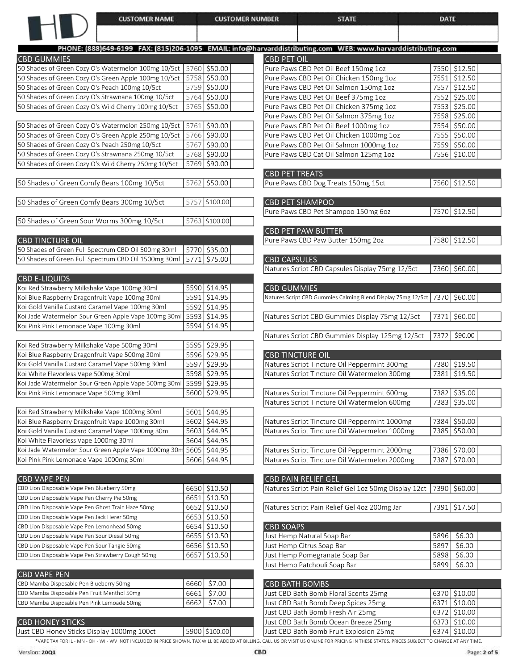| <b>CUSTOMER NAME</b>                                                                                         |                           | <b>CUSTOMER NUMBER</b> | <b>STATE</b>                                                                | <b>DATE</b> |              |
|--------------------------------------------------------------------------------------------------------------|---------------------------|------------------------|-----------------------------------------------------------------------------|-------------|--------------|
|                                                                                                              |                           |                        |                                                                             |             |              |
| PHONE: (888)649-6199 FAX: (815)206-1095 EMAIL: info@harvarddistributing.com WEB: www.harvarddistributing.com |                           |                        |                                                                             |             |              |
| <b>CBD GUMMIES</b>                                                                                           |                           | <b>CBD PET OIL</b>     |                                                                             |             |              |
| 50 Shades of Green Cozy O's Watermelon 100mg 10/5ct                                                          | 5760 \$50.00              |                        | Pure Paws CBD Pet Oil Beef 150mg 1oz                                        |             | 7550 \$12.50 |
| 50 Shades of Green Cozy O's Green Apple 100mg 10/5ct                                                         | 5758 \$50.00              |                        | Pure Paws CBD Pet Oil Chicken 150mg 1oz                                     | 7551        | \$12.50      |
| 50 Shades of Green Cozy O's Peach 100mg 10/5ct                                                               | 5759 \$50.00              |                        | Pure Paws CBD Pet Oil Salmon 150mg 1oz                                      | 7557        | \$12.50      |
| 50 Shades of Green Cozy O's Strawnana 100mg 10/5ct                                                           | 5764 \$50.00              |                        | Pure Paws CBD Pet Oil Beef 375mg 1oz                                        | 7552        | 525.00       |
| 50 Shades of Green Cozy O's Wild Cherry 100mg 10/5ct                                                         | 5765 \$50.00              |                        | Pure Paws CBD Pet Oil Chicken 375mg 1oz                                     |             | 7553 \$25.00 |
|                                                                                                              |                           |                        | Pure Paws CBD Pet Oil Salmon 375mg 1oz                                      |             | 7558 \$25.00 |
| 50 Shades of Green Cozy O's Watermelon 250mg 10/5ct                                                          | 5761 \$90.00              |                        | Pure Paws CBD Pet Oil Beef 1000mg 1oz                                       |             | 7554 \$50.00 |
| 50 Shades of Green Cozy O's Green Apple 250mg 10/5ct                                                         | 5766 \$90.00              |                        | Pure Paws CBD Pet Oil Chicken 1000mg 1oz                                    |             | 7555 \$50.00 |
| 50 Shades of Green Cozy O's Peach 250mg 10/5ct                                                               | 5767 \$90.00              |                        | Pure Paws CBD Pet Oil Salmon 1000mg 1oz                                     |             | 7559 \$50.00 |
| 50 Shades of Green Cozy O's Strawnana 250mg 10/5ct                                                           | $\overline{5768}$ \$90.00 |                        | Pure Paws CBD Cat Oil Salmon 125mg 1oz                                      |             | 7556 \$10.00 |
| 50 Shades of Green Cozy O's Wild Cherry 250mg 10/5ct                                                         | 5769 \$90.00              |                        |                                                                             |             |              |
| 50 Shades of Green Comfy Bears 100mg 10/5ct                                                                  | 5762 \$50.00              | <b>CBD PET TREATS</b>  | Pure Paws CBD Dog Treats 150mg 15ct                                         |             | 7560 \$12.50 |
|                                                                                                              |                           |                        |                                                                             |             |              |
| 50 Shades of Green Comfy Bears 300mg 10/5ct                                                                  | 5757 \$100.00             |                        | <b>CBD PET SHAMPOO</b>                                                      |             |              |
|                                                                                                              |                           |                        | Pure Paws CBD Pet Shampoo 150mg 60z                                         |             | 7570 \$12.50 |
| 50 Shades of Green Sour Worms 300mg 10/5ct                                                                   | 5763 \$100.00             |                        |                                                                             |             |              |
|                                                                                                              |                           |                        | <b>CBD PET PAW BUTTER</b>                                                   |             |              |
| <b>CBD TINCTURE OIL</b>                                                                                      |                           |                        | Pure Paws CBD Paw Butter 150mg 2oz                                          |             | 7580 \$12.50 |
| 50 Shades of Green Full Spectrum CBD Oil 500mg 30ml                                                          | 5770 \$35.00              |                        |                                                                             |             |              |
| 50 Shades of Green Full Spectrum CBD Oil 1500mg 30ml                                                         | 5771 \$75.00              | <b>CBD CAPSULES</b>    |                                                                             |             |              |
| <b>CBD E-LIQUIDS</b>                                                                                         |                           |                        | Natures Script CBD Capsules Display 75mg 12/5ct                             |             | 7360 \$60.00 |
| Koi Red Strawberry Milkshake Vape 100mg 30ml                                                                 | 5590 \$14.95              | <b>CBD GUMMIES</b>     |                                                                             |             |              |
| Koi Blue Raspberry Dragonfruit Vape 100mg 30ml                                                               | 5591 \$14.95              |                        | Natures Script CBD Gummies Calming Blend Display 75mg 12/5ct 7370   \$60.00 |             |              |
| Koi Gold Vanilla Custard Caramel Vape 100mg 30ml                                                             | 5592 \$14.95              |                        |                                                                             |             |              |
| Koi Jade Watermelon Sour Green Apple Vape 100mg 30ml                                                         | $5593$ \$14.95            |                        | Natures Script CBD Gummies Display 75mg 12/5ct                              |             | 7371 \$60.00 |
| Koi Pink Pink Lemonade Vape 100mg 30ml                                                                       | 5594 \$14.95              |                        |                                                                             |             |              |
|                                                                                                              |                           |                        | Natures Script CBD Gummies Display 125mg 12/5ct                             | 7372        | \$90.00      |
| Koi Red Strawberry Milkshake Vape 500mg 30ml                                                                 | 5595 \$29.95              |                        |                                                                             |             |              |
| Koi Blue Raspberry Dragonfruit Vape 500mg 30ml                                                               | 5596 \$29.95              |                        | <b>CBD TINCTURE OIL</b>                                                     |             |              |
| Koi Gold Vanilla Custard Caramel Vape 500mg 30ml                                                             | 5597 \$29.95              |                        | Natures Script Tincture Oil Peppermint 300mg                                |             | 7380 \$19.50 |
| Koi White Flavorless Vape 500mg 30ml                                                                         | 5598 \$29.95              |                        | Natures Script Tincture Oil Watermelon 300mg                                | 7381        | \$19.50      |
| Koi Jade Watermelon Sour Green Apple Vape 500mg 30ml                                                         | 5599 \$29.95              |                        |                                                                             |             |              |
| Koi Pink Pink Lemonade Vape 500mg 30ml                                                                       | 5600 \$29.95              |                        | Natures Script Tincture Oil Peppermint 600mg                                | 7382        | \$35.00      |
|                                                                                                              |                           |                        | Natures Script Tincture Oil Watermelon 600mg                                | 7383        | \$35.00      |
| Koi Red Strawberry Milkshake Vape 1000mg 30ml                                                                | 5601 \$44.95              |                        |                                                                             |             |              |
| Koi Blue Raspberry Dragonfruit Vape 1000mg 30ml                                                              | 5602 \$44.95              |                        | Natures Script Tincture Oil Peppermint 1000mg                               | 7384        | \$50.00      |
| Koi Gold Vanilla Custard Caramel Vape 1000mg 30ml                                                            | 5603 \$44.95              |                        | Natures Script Tincture Oil Watermelon 1000mg                               | 7385        | \$50.00      |
| Koi White Flavorless Vape 1000mg 30ml                                                                        | 5604 \$44.95              |                        |                                                                             |             |              |
| Koi Jade Watermelon Sour Green Apple Vape 1000mg 30m                                                         | 5605   \$44.95            |                        | Natures Script Tincture Oil Peppermint 2000mg                               | 7386        | \$70.00      |
| Koi Pink Pink Lemonade Vape 1000mg 30ml                                                                      | 5606 \$44.95              |                        | Natures Script Tincture Oil Watermelon 2000mg                               | 7387        | \$70.00      |

| <b>CBD VAPE PEN</b>                                |                | <b>CBD PAIN RELIEF GEL</b>                                            |      |              |
|----------------------------------------------------|----------------|-----------------------------------------------------------------------|------|--------------|
| CBD Lion Disposable Vape Pen Blueberry 50mg        | 6650   \$10.50 | Natures Script Pain Relief Gel 1oz 50mg Display 12ct   7390   \$60.00 |      |              |
| CBD Lion Disposable Vape Pen Cherry Pie 50mg       | 6651   \$10.50 |                                                                       |      |              |
| CBD Lion Disposable Vape Pen Ghost Train Haze 50mg | 6652   \$10.50 | Natures Script Pain Relief Gel 4oz 200mg Jar                          |      | 7391 \$17.50 |
| CBD Lion Disposable Vape Pen Jack Herer 50mg       | 6653   \$10.50 |                                                                       |      |              |
| CBD Lion Disposable Vape Pen Lemonhead 50mg        | 6654   \$10.50 | <b>CBD SOAPS</b>                                                      |      |              |
| CBD Lion Disposable Vape Pen Sour Diesal 50mg      | 6655   \$10.50 | Just Hemp Natural Soap Bar                                            |      | 5896 \$6.00  |
| CBD Lion Disposable Vape Pen Sour Tangie 50mg      | 6656   \$10.50 | Just Hemp Citrus Soap Bar                                             | 5897 | \$6.00       |
| CBD Lion Disposable Vape Pen Strawberry Cough 50mg | 6657   \$10.50 | Just Hemp Pomegranate Soap Bar                                        | 5898 | \$6.00       |
|                                                    |                | the set the control in the state of the state in the con-             |      | roool ccoo   |

| ICBD VAPE PEN                               |               |                                       |                |
|---------------------------------------------|---------------|---------------------------------------|----------------|
| CBD Mamba Disposable Pen Blueberry 50mg     | 6660 \$7.00   | <b>CBD BATH BOMBS</b>                 |                |
| CBD Mamba Disposable Pen Fruit Menthol 50mg | 6661  \$7.00  | Just CBD Bath Bomb Floral Scents 25mg | 6370   \$10.00 |
| CBD Mamba Disposable Pen Pink Lemoade 50mg  | 6662   \$7.00 | Just CBD Bath Bomb Deep Spices 25mg   | 6371   \$10.00 |
|                                             |               |                                       |                |

## CBD HONEY STICKS

Just CBD Honey Sticks Display 1000mg 100ct 5900 \$100.00

\*VAPE TAX FOR IL - MN - OH - WI - WV NOT INCLUDED IN PRICE SHOWN. TAX WILL BE ADDED AT BILLING. CALL US OR VISIT US ONLINE FOR PRICING IN THESE STATES. PRICES SUBJECT TO CHANGE AT ANY TIME.

| ICBD SOAPS I                   |      |            |  |
|--------------------------------|------|------------|--|
| Just Hemp Natural Soap Bar     |      | 5896 56.00 |  |
| Just Hemp Citrus Soap Bar      | 5897 | \$6.00     |  |
| Just Hemp Pomegranate Soap Bar | 5898 | \$6.00     |  |
| Just Hemp Patchouli Soap Bar   | 5899 | \$6.00     |  |

|  | 6370   \$10.00  <br>6371 \$10.00<br>6372 \$10.00<br>6373 \$10.00<br>$6374$ \$10.00 |
|--|------------------------------------------------------------------------------------|

Version: 20Q1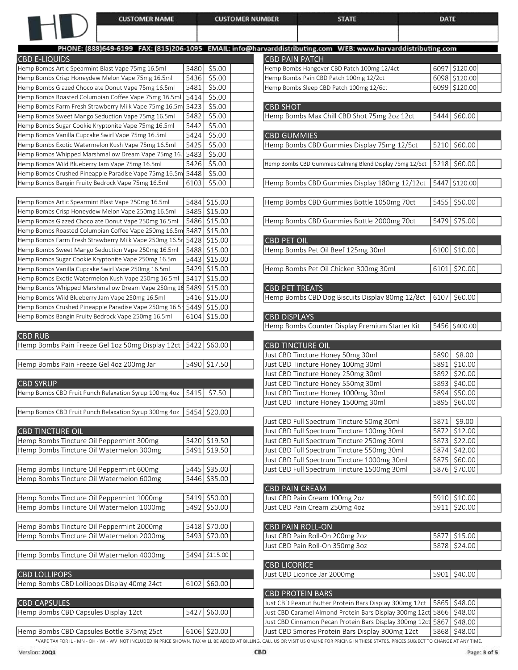|                                                                                                              | <b>CUSTOMER NAME</b>                                                                            |              | <b>CUSTOMER NUMBER</b>       |                         | <b>STATE</b>                                                                                                 | <b>DATE</b> |                         |
|--------------------------------------------------------------------------------------------------------------|-------------------------------------------------------------------------------------------------|--------------|------------------------------|-------------------------|--------------------------------------------------------------------------------------------------------------|-------------|-------------------------|
|                                                                                                              |                                                                                                 |              |                              |                         |                                                                                                              |             |                         |
|                                                                                                              |                                                                                                 |              |                              |                         | PHONE: (888)649-6199 FAX: (815)206-1095 EMAIL: info@harvarddistributing.com WEB: www.harvarddistributing.com |             |                         |
| <b>CBD E-LIQUIDS</b>                                                                                         |                                                                                                 |              |                              | <b>CBD PAIN PATCH</b>   |                                                                                                              |             |                         |
| Hemp Bombs Artic Spearmint Blast Vape 75mg 16.5ml                                                            |                                                                                                 | 5480         | \$5.00                       |                         | Hemp Bombs Hangover CBD Patch 100mg 12/4ct                                                                   |             | 6097 \$120.00           |
| Hemp Bombs Crisp Honeydew Melon Vape 75mg 16.5ml                                                             |                                                                                                 | 5436         | \$5.00                       |                         | Hemp Bombs Pain CBD Patch 100mg 12/2ct                                                                       |             | 6098 \$120.00           |
| Hemp Bombs Glazed Chocolate Donut Vape 75mg 16.5ml                                                           |                                                                                                 | 5481         | \$5.00                       |                         | Hemp Bombs Sleep CBD Patch 100mg 12/6ct                                                                      |             | 6099 \$120.00           |
| Hemp Bombs Roasted Columbian Coffee Vape 75mg 16.5ml                                                         |                                                                                                 | 5414         | \$5.00                       |                         |                                                                                                              |             |                         |
| Hemp Bombs Farm Fresh Strawberry Milk Vape 75mg 16.5m                                                        |                                                                                                 | 5423         | \$5.00                       | <b>CBD SHOT</b>         |                                                                                                              |             |                         |
| Hemp Bombs Sweet Mango Seduction Vape 75mg 16.5ml                                                            |                                                                                                 | 5482         | \$5.00                       |                         | Hemp Bombs Max Chill CBD Shot 75mg 2oz 12ct                                                                  |             | 5444 \$60.00            |
| Hemp Bombs Sugar Cookie Kryptonite Vape 75mg 16.5ml<br>Hemp Bombs Vanilla Cupcake Swirl Vape 75mg 16.5ml     |                                                                                                 | 5442<br>5424 | \$5.00<br>\$5.00             | <b>CBD GUMMIES</b>      |                                                                                                              |             |                         |
| Hemp Bombs Exotic Watermelon Kush Vape 75mg 16.5ml                                                           |                                                                                                 | 5425         | \$5.00                       |                         | Hemp Bombs CBD Gummies Display 75mg 12/5ct                                                                   |             | 5210 \$60.00            |
| Hemp Bombs Whipped Marshmallow Dream Vape 75mg 16.                                                           |                                                                                                 | 5483         | \$5.00                       |                         |                                                                                                              |             |                         |
| Hemp Bombs Wild Blueberry Jam Vape 75mg 16.5ml                                                               |                                                                                                 | 5426         | \$5.00                       |                         | Hemp Bombs CBD Gummies Calming Blend Display 75mg 12/5ct                                                     |             | $5218$ \$60.00          |
| Hemp Bombs Crushed Pineapple Paradise Vape 75mg 16.5m                                                        |                                                                                                 | 5448         | \$5.00                       |                         |                                                                                                              |             |                         |
| Hemp Bombs Bangin Fruity Bedrock Vape 75mg 16.5ml                                                            |                                                                                                 | 6103         | \$5.00                       |                         | Hemp Bombs CBD Gummies Display 180mg 12/12ct                                                                 |             | 5447 \$120.00           |
|                                                                                                              |                                                                                                 |              |                              |                         |                                                                                                              |             |                         |
| Hemp Bombs Artic Spearmint Blast Vape 250mg 16.5ml                                                           |                                                                                                 |              | 5484 \$15.00                 |                         | Hemp Bombs CBD Gummies Bottle 1050mg 70ct                                                                    |             | 5455 \$50.00            |
| Hemp Bombs Crisp Honeydew Melon Vape 250mg 16.5ml                                                            |                                                                                                 |              | 5485 \$15.00                 |                         |                                                                                                              |             |                         |
| Hemp Bombs Glazed Chocolate Donut Vape 250mg 16.5ml                                                          |                                                                                                 |              | 5486 \$15.00                 |                         | Hemp Bombs CBD Gummies Bottle 2000mg 70ct                                                                    |             | 5479 \$75.00            |
| Hemp Bombs Roasted Columbian Coffee Vape 250mg 16.5m                                                         |                                                                                                 |              | 5487 \$15.00                 |                         |                                                                                                              |             |                         |
| Hemp Bombs Farm Fresh Strawberry Milk Vape 250mg 16.5r<br>Hemp Bombs Sweet Mango Seduction Vape 250mg 16.5ml |                                                                                                 |              | 5428 \$15.00<br>5488 \$15.00 | <b>CBD PET OIL</b>      | Hemp Bombs Pet Oil Beef 125mg 30ml                                                                           |             | 6100 \$10.00            |
| Hemp Bombs Sugar Cookie Kryptonite Vape 250mg 16.5ml                                                         |                                                                                                 |              | 5443 \$15.00                 |                         |                                                                                                              |             |                         |
| Hemp Bombs Vanilla Cupcake Swirl Vape 250mg 16.5ml                                                           |                                                                                                 |              | 5429 \$15.00                 |                         | Hemp Bombs Pet Oil Chicken 300mg 30ml                                                                        |             | $6101$ \$20.00          |
| Hemp Bombs Exotic Watermelon Kush Vape 250mg 16.5ml                                                          |                                                                                                 |              | 5417 \$15.00                 |                         |                                                                                                              |             |                         |
| Hemp Bombs Whipped Marshmallow Dream Vape 250mg 16                                                           |                                                                                                 |              | 5489 \$15.00                 | <b>CBD PET TREATS</b>   |                                                                                                              |             |                         |
| Hemp Bombs Wild Blueberry Jam Vape 250mg 16.5ml                                                              |                                                                                                 |              | 5416 \$15.00                 |                         | Hemp Bombs CBD Dog Biscuits Display 80mg 12/8ct                                                              |             | $6107$ \$60.00          |
| Hemp Bombs Crushed Pineapple Paradise Vape 250mg 16.5r 5449   \$15.00                                        |                                                                                                 |              |                              |                         |                                                                                                              |             |                         |
| Hemp Bombs Bangin Fruity Bedrock Vape 250mg 16.5ml                                                           |                                                                                                 |              | 6104 \$15.00                 | <b>CBD DISPLAYS</b>     |                                                                                                              |             |                         |
|                                                                                                              |                                                                                                 |              |                              |                         | Hemp Bombs Counter Display Premium Starter Kit                                                               |             | 5456 \$400.00           |
| <b>CBD RUB</b><br>Hemp Bombs Pain Freeze Gel 1oz 50mg Display 12ct   5422   \$60.00                          |                                                                                                 |              |                              | <b>CBD TINCTURE OIL</b> |                                                                                                              |             |                         |
|                                                                                                              |                                                                                                 |              |                              |                         | Just CBD Tincture Honey 50mg 30ml                                                                            | 5890        | \$8.00                  |
| Hemp Bombs Pain Freeze Gel 4oz 200mg Jar                                                                     |                                                                                                 |              | 5490 \$17.50                 |                         | Just CBD Tincture Honey 100mg 30ml                                                                           | 5891        | \$10.00                 |
|                                                                                                              |                                                                                                 |              |                              |                         | Just CBD Tincture Honey 250mg 30ml                                                                           | 5892        | \$20.00                 |
| <b>CBD SYRUP</b>                                                                                             |                                                                                                 |              |                              |                         | Just CBD Tincture Honey 550mg 30ml                                                                           |             | 5893 \$40.00            |
| Hemp Bombs CBD Fruit Punch Relaxation Syrup 100mg 4oz   5415   \$7.50                                        |                                                                                                 |              |                              |                         | Just CBD Tincture Honey 1000mg 30ml                                                                          |             | 5894 \$50.00            |
|                                                                                                              |                                                                                                 |              |                              |                         | Just CBD Tincture Honey 1500mg 30ml                                                                          |             | 5895 \$60.00            |
| Hemp Bombs CBD Fruit Punch Relaxation Syrup 300mg 4oz                                                        |                                                                                                 |              | 5454 \$20.00                 |                         |                                                                                                              |             |                         |
|                                                                                                              |                                                                                                 |              |                              |                         | Just CBD Full Spectrum Tincture 50mg 30ml                                                                    | 5871        | \$9.00                  |
| <b>CBD TINCTURE OIL</b>                                                                                      |                                                                                                 |              |                              |                         | Just CBD Full Spectrum Tincture 100mg 30ml                                                                   | 5872        | \$12.00                 |
| Hemp Bombs Tincture Oil Peppermint 300mg<br>Hemp Bombs Tincture Oil Watermelon 300mg                         |                                                                                                 |              | 5420 \$19.50<br>5491 \$19.50 |                         | Just CBD Full Spectrum Tincture 250mg 30ml<br>Just CBD Full Spectrum Tincture 550mg 30ml                     | 5873        | \$22.00<br>5874 \$42.00 |
|                                                                                                              |                                                                                                 |              |                              |                         | Just CBD Full Spectrum Tincture 1000mg 30ml                                                                  |             | 5875 \$60.00            |
| Hemp Bombs Tincture Oil Peppermint 600mg                                                                     |                                                                                                 |              | 5445 \$35.00                 |                         | Just CBD Full Spectrum Tincture 1500mg 30ml                                                                  |             | 5876 \$70.00            |
| Hemp Bombs Tincture Oil Watermelon 600mg                                                                     |                                                                                                 |              | 5446 \$35.00                 |                         |                                                                                                              |             |                         |
|                                                                                                              |                                                                                                 |              |                              | <b>CBD PAIN CREAM</b>   |                                                                                                              |             |                         |
| Hemp Bombs Tincture Oil Peppermint 1000mg                                                                    |                                                                                                 |              | 5419 \$50.00                 |                         | Just CBD Pain Cream 100mg 2oz                                                                                |             | 5910 \$10.00            |
| Hemp Bombs Tincture Oil Watermelon 1000mg                                                                    |                                                                                                 |              | 5492 \$50.00                 |                         | Just CBD Pain Cream 250mg 4oz                                                                                |             | 5911 \$20.00            |
|                                                                                                              |                                                                                                 |              |                              |                         |                                                                                                              |             |                         |
| Hemp Bombs Tincture Oil Peppermint 2000mg                                                                    |                                                                                                 |              | 5418 \$70.00                 | <b>CBD PAIN ROLL-ON</b> |                                                                                                              |             |                         |
| Hemp Bombs Tincture Oil Watermelon 2000mg                                                                    |                                                                                                 |              | 5493 \$70.00                 |                         | Just CBD Pain Roll-On 200mg 2oz                                                                              |             | 5877 \$15.00            |
|                                                                                                              |                                                                                                 |              |                              |                         | Just CBD Pain Roll-On 350mg 3oz                                                                              |             | 5878 \$24.00            |
| Hemp Bombs Tincture Oil Watermelon 4000mg                                                                    |                                                                                                 |              | 5494 \$115.00                |                         |                                                                                                              |             |                         |
| <b>CBD LOLLIPOPS</b>                                                                                         |                                                                                                 |              |                              | <b>CBD LICORICE</b>     | Just CBD Licorice Jar 2000mg                                                                                 |             | 5901 \$40.00            |
| Hemp Bombs CBD Lollipops Display 40mg 24ct                                                                   |                                                                                                 |              | $6102$ \$60.00               |                         |                                                                                                              |             |                         |
|                                                                                                              |                                                                                                 |              |                              | <b>CBD PROTEIN BARS</b> |                                                                                                              |             |                         |
| <b>CBD CAPSULES</b>                                                                                          |                                                                                                 |              |                              |                         | Just CBD Peanut Butter Protein Bars Display 300mg 12ct                                                       | 5865        | \$48.00                 |
| Hemp Bombs CBD Capsules Display 12ct                                                                         |                                                                                                 |              | 5427 \$60.00                 |                         | Just CBD Caramel Almond Protein Bars Display 300mg 12ct 5866                                                 |             | \$48.00                 |
|                                                                                                              |                                                                                                 |              |                              |                         | Just CBD Cinnamon Pecan Protein Bars Display 300mg 12ct 5867                                                 |             | \$48.00                 |
| Hemp Bombs CBD Capsules Bottle 375mg 25ct                                                                    |                                                                                                 |              | 6106 \$20.00                 |                         | Just CBD Smores Protein Bars Display 300mg 12ct                                                              |             | 5868 \$48.00            |
|                                                                                                              | *VAPE TAX FOR IL - MN - OH - WI - WV NOT INCLUDED IN PRICE SHOWN. TAX WILL BE ADDED AT BILLING. |              |                              |                         | CALL US OR VISIT US ONLINE FOR PRICING IN THESE STATES. PRICES SUBJECT TO CHANGE AT ANY TIME.                |             |                         |

 $\overline{\phantom{a}}$ 

ן

1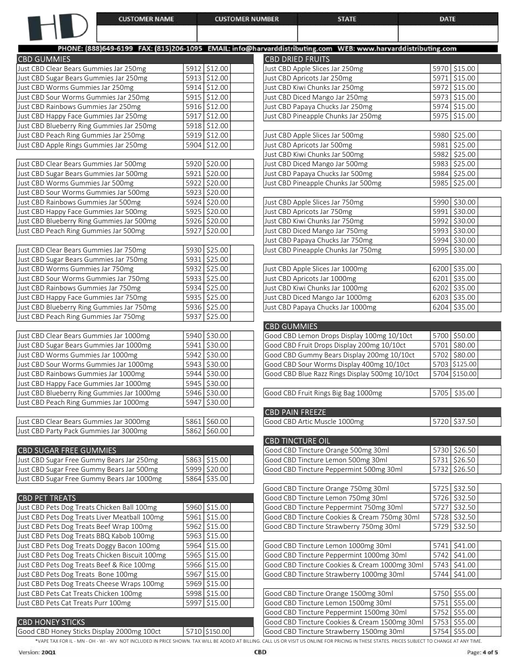| <b>CUSTOMER NAME</b>                                                               | <b>CUSTOMER NUMBER</b>       | <b>STATE</b>                                                                                                 | <b>DATE</b>                    |
|------------------------------------------------------------------------------------|------------------------------|--------------------------------------------------------------------------------------------------------------|--------------------------------|
|                                                                                    |                              |                                                                                                              |                                |
|                                                                                    |                              | PHONE: (888)649-6199 FAX: (815)206-1095 EMAIL: info@harvarddistributing.com WEB: www.harvarddistributing.com |                                |
| <b>CBD GUMMIES</b>                                                                 |                              | <b>CBD DRIED FRUITS</b>                                                                                      |                                |
| Just CBD Clear Bears Gummies Jar 250mg                                             | 5912 \$12.00                 | Just CBD Apple Slices Jar 250mg                                                                              | 5970 \$15.00                   |
| Just CBD Sugar Bears Gummies Jar 250mg                                             | 5913 \$12.00                 | Just CBD Apricots Jar 250mg                                                                                  | 5971 \$15.00                   |
| Just CBD Worms Gummies Jar 250mg                                                   | 5914 \$12.00                 | Just CBD Kiwi Chunks Jar 250mg                                                                               | 5972 \$15.00                   |
| Just CBD Sour Worms Gummies Jar 250mg                                              | 5915 \$12.00                 | Just CBD Diced Mango Jar 250mg                                                                               | 5973 \$15.00                   |
| Just CBD Rainbows Gummies Jar 250mg                                                | 5916 \$12.00                 | Just CBD Papaya Chucks Jar 250mg                                                                             | 5974 \$15.00                   |
| Just CBD Happy Face Gummies Jar 250mg                                              | 5917 \$12.00                 | Just CBD Pineapple Chunks Jar 250mg                                                                          | 5975   \$15.00                 |
| Just CBD Blueberry Ring Gummies Jar 250mg                                          | 5918 \$12.00                 |                                                                                                              |                                |
| Just CBD Peach Ring Gummies Jar 250mg                                              | 5919 \$12.00                 | Just CBD Apple Slices Jar 500mg                                                                              | 5980 \$25.00                   |
| Just CBD Apple Rings Gummies Jar 250mg                                             | 5904 \$12.00                 | Just CBD Apricots Jar 500mg                                                                                  | 5981 \$25.00                   |
|                                                                                    |                              | Just CBD Kiwi Chunks Jar 500mg                                                                               | 5982 \$25.00                   |
| Just CBD Clear Bears Gummies Jar 500mg                                             | 5920 \$20.00                 | Just CBD Diced Mango Jar 500mg                                                                               | 5983 \$25.00                   |
| Just CBD Sugar Bears Gummies Jar 500mg                                             | 5921 \$20.00                 | Just CBD Papaya Chucks Jar 500mg                                                                             | 5984 \$25.00                   |
| Just CBD Worms Gummies Jar 500mg                                                   | 5922 \$20.00                 | Just CBD Pineapple Chunks Jar 500mg                                                                          | 5985 \$25.00                   |
| Just CBD Sour Worms Gummies Jar 500mg                                              | 5923 \$20.00                 |                                                                                                              |                                |
| Just CBD Rainbows Gummies Jar 500mg                                                | 5924 \$20.00                 | Just CBD Apple Slices Jar 750mg                                                                              | 5990 \$30.00                   |
| Just CBD Happy Face Gummies Jar 500mg                                              | 5925 \$20.00                 | Just CBD Apricots Jar 750mg                                                                                  | 5991 \$30.00                   |
| Just CBD Blueberry Ring Gummies Jar 500mg                                          | 5926 \$20.00                 | Just CBD Kiwi Chunks Jar 750mg                                                                               | 5992 \$30.00                   |
| Just CBD Peach Ring Gummies Jar 500mg                                              | 5927 \$20.00                 | Just CBD Diced Mango Jar 750mg                                                                               | 5993 \$30.00                   |
|                                                                                    |                              | Just CBD Papaya Chucks Jar 750mg                                                                             | 5994 \$30.00                   |
| Just CBD Clear Bears Gummies Jar 750mg                                             | 5930 \$25.00                 | Just CBD Pineapple Chunks Jar 750mg                                                                          | 5995 \$30.00                   |
| Just CBD Sugar Bears Gummies Jar 750mg                                             | 5931 \$25.00                 |                                                                                                              |                                |
| Just CBD Worms Gummies Jar 750mg                                                   | 5932 \$25.00                 | Just CBD Apple Slices Jar 1000mg                                                                             | 6200 \$35.00                   |
| Just CBD Sour Worms Gummies Jar 750mg                                              | 5933 \$25.00                 | Just CBD Apricots Jar 1000mg                                                                                 | $6201$ \$35.00                 |
| Just CBD Rainbows Gummies Jar 750mg                                                | 5934 \$25.00                 | Just CBD Kiwi Chunks Jar 1000mg                                                                              | 6202 \$35.00                   |
| Just CBD Happy Face Gummies Jar 750mg                                              | 5935 \$25.00<br>5936 \$25.00 | Just CBD Diced Mango Jar 1000mg<br>Just CBD Papaya Chucks Jar 1000mg                                         | $6203$ \$35.00<br>6204 \$35.00 |
| Just CBD Blueberry Ring Gummies Jar 750mg<br>Just CBD Peach Ring Gummies Jar 750mg | 5937 \$25.00                 |                                                                                                              |                                |
|                                                                                    |                              | <b>CBD GUMMIES</b>                                                                                           |                                |
| Just CBD Clear Bears Gummies Jar 1000mg                                            | 5940 \$30.00                 | Good CBD Lemon Drops Display 100mg 10/10ct                                                                   | 5700 \$50.00                   |
| Just CBD Sugar Bears Gummies Jar 1000mg                                            | 5941 \$30.00                 | Good CBD Fruit Drops Display 200mg 10/10ct                                                                   | 5701 \$80.00                   |
| Just CBD Worms Gummies Jar 1000mg                                                  | 5942 \$30.00                 | Good CBD Gummy Bears Display 200mg 10/10ct                                                                   | 5702 \$80.00                   |
| Just CBD Sour Worms Gummies Jar 1000mg                                             | 5943   \$30.00               | Good CBD Sour Worms Display 400mg 10/10ct                                                                    | 5703 \$125.00                  |
| Just CBD Rainbows Gummies Jar 1000mg                                               | 5944 \$30.00                 | Good CBD Blue Razz Rings Display 500mg 10/10ct                                                               | 5704 \$150.00                  |
| Just CBD Happy Face Gummies Jar 1000mg                                             | 5945 \$30.00                 |                                                                                                              |                                |
| Just CBD Blueberry Ring Gummies Jar 1000mg                                         | 5946 \$30.00                 | Good CBD Fruit Rings Big Bag 1000mg                                                                          | 5705 \$35.00                   |
| Just CBD Peach Ring Gummies Jar 1000mg                                             | 5947 \$30.00                 |                                                                                                              |                                |
|                                                                                    |                              | <b>CBD PAIN FREEZE</b>                                                                                       |                                |
| Just CBD Clear Bears Gummies Jar 3000mg                                            | 5861 \$60.00                 | Good CBD Artic Muscle 1000mg                                                                                 | 5720 \$37.50                   |
| Just CBD Party Pack Gummies Jar 3000mg                                             | 5862 \$60.00                 |                                                                                                              |                                |
|                                                                                    |                              | <b>CBD TINCTURE OIL</b>                                                                                      |                                |
| <b>CBD SUGAR FREE GUMMIES</b>                                                      |                              | Good CBD Tincture Orange 500mg 30ml                                                                          | 5730 \$26.50                   |
| Just CBD Sugar Free Gummy Bears Jar 250mg                                          | 5863 \$15.00                 | Good CBD Tincture Lemon 500mg 30ml                                                                           | 5731 \$26.50                   |
| Just CBD Sugar Free Gummy Bears Jar 500mg                                          | 5999 \$20.00                 | Good CBD Tincture Peppermint 500mg 30ml                                                                      | 5732 \$26.50                   |
| Just CBD Sugar Free Gummy Bears Jar 1000mg                                         | 5864 \$35.00                 |                                                                                                              |                                |
|                                                                                    |                              | Good CBD Tincture Orange 750mg 30ml                                                                          | 5725 \$32.50                   |
| <b>CBD PET TREATS</b>                                                              |                              | Good CBD Tincture Lemon 750mg 30ml                                                                           | 5726 \$32.50                   |
| Just CBD Pets Dog Treats Chicken Ball 100mg                                        | 5960 \$15.00                 | Good CBD Tincture Peppermint 750mg 30ml                                                                      | 5727 \$32.50                   |
| Just CBD Pets Dog Treats Liver Meatball 100mg                                      | 5961 \$15.00                 | Good CBD Tincture Cookies & Cream 750mg 30ml                                                                 | 5728 \$32.50                   |
| Just CBD Pets Dog Treats Beef Wrap 100mg                                           | 5962 \$15.00                 | Good CBD Tincture Strawberry 750mg 30ml                                                                      | 5729 \$32.50                   |
| Just CBD Pets Dog Treats BBQ Kabob 100mg                                           | 5963 \$15.00                 |                                                                                                              |                                |
| Just CBD Pets Dog Treats Doggy Bacon 100mg                                         | 5964 \$15.00                 | Good CBD Tincture Lemon 1000mg 30ml                                                                          | 5741 \$41.00                   |
| Just CBD Pets Dog Treats Chicken Biscuit 100mg                                     | 5965 \$15.00                 | Good CBD Tincture Peppermint 1000mg 30ml                                                                     | 5742 \$41.00                   |

| BD Pets Dog Treats Cheese Wraps IUUMg   | 1 5969 1 515.00 1 |                                                                                                                                                                                                |                  |  |
|-----------------------------------------|-------------------|------------------------------------------------------------------------------------------------------------------------------------------------------------------------------------------------|------------------|--|
| <b>BD Pets Cat Treats Chicken 100mg</b> | 5998   \$15.00    | Good CBD Tincture Orange 1500mg 30ml                                                                                                                                                           | 5750 \$55.00     |  |
| <b>BD Pets Cat Treats Purr 100mg</b>    | 5997 \$15.00      | Good CBD Tincture Lemon 1500mg 30ml                                                                                                                                                            | $ 5751 $ \$55.00 |  |
|                                         |                   | Good CBD Tincture Peppermint 1500mg 30ml                                                                                                                                                       | 5752 555.00      |  |
| <b>HONEY STICKS</b>                     |                   | Good CBD Tincture Cookies & Cream 1500mg 30ml                                                                                                                                                  | 5753 555.00      |  |
| CBD Honey Sticks Display 2000mg 100ct   | $ 5710 $ \$150.00 | Good CBD Tincture Strawberry 1500mg 30ml                                                                                                                                                       | $ 5754 $ \$55.00 |  |
|                                         |                   | *VAPE TAX FOR IL - MN - OH - WL- WV, NOT INCLUDED IN PRICE SHOWN. TAX WILL BE ADDED AT BILLING, CALL US OR VISIT US ON LINE FOR PRICING IN THESE STATES, PRICES SUBJECT TO CHANGE AT ANY TIME. |                  |  |

**CBD HONEY STICKS** 

Just CBD Pets Dog Treats Cheese Wraps 100mg 5969 \$15.00 Just CBD Pets Cat Treats Chicken 100mg 5998 \$15.00 Just CBD Pets Cat Treats Purr 100mg 5997 \$15.00

Good CBD Honey Sticks Display 2000mg 100ct 5710 \$150.00

Just CBD Pets Dog Treats Beef & Rice 100mg 5966 \$15.00 Good CBD Tincture Cookies & Cream 1000mg 30ml 5743 \$41.00 Just CBD Pets Dog Treats Bone 100mg  $\boxed{5967 \mid $15.00 \mid}$  Good CBD Tincture Strawberry 1000mg 30ml 5744 \$41.00